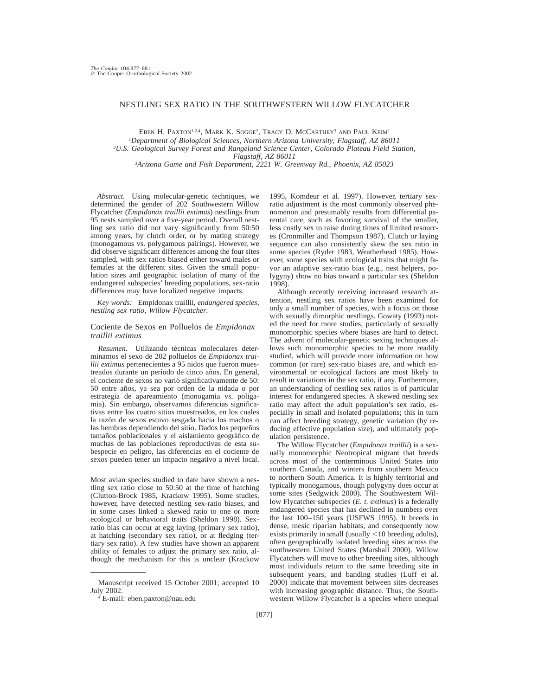# NESTLING SEX RATIO IN THE SOUTHWESTERN WILLOW FLYCATCHER

EBEN H. PAXTON<sup>1,2,4</sup>, MARK K. SOGGE<sup>2</sup>, TRACY D. MCCARTHEY<sup>3</sup> AND PAUL KEIM<sup>1</sup> *1Department of Biological Sciences, Northern Arizona University, Flagstaff, AZ 86011 2U.S. Geological Survey Forest and Rangeland Science Center, Colorado Plateau Field Station, Flagstaff, AZ 86011 3Arizona Game and Fish Department, 2221 W. Greenway Rd., Phoenix, AZ 85023*

*Abstract.* Using molecular-genetic techniques, we determined the gender of 202 Southwestern Willow Flycatcher (*Empidonax traillii extimus*) nestlings from 95 nests sampled over a five-year period. Overall nestling sex ratio did not vary significantly from 50:50 among years, by clutch order, or by mating strategy (monogamous vs. polygamous pairings). However, we did observe significant differences among the four sites sampled, with sex ratios biased either toward males or females at the different sites. Given the small population sizes and geographic isolation of many of the endangered subspecies' breeding populations, sex-ratio differences may have localized negative impacts.

*Key words:* Empidonax traillii*, endangered species, nestling sex ratio, Willow Flycatcher.*

## Cociente de Sexos en Polluelos de *Empidonax traillii extimus*

Resumen. Utilizando técnicas moleculares determinamos el sexo de 202 polluelos de *Empidonax traillii extimus* pertenecientes a 95 nidos que fueron muestreados durante un período de cinco años. En general, el cociente de sexos no varió significativamente de 50: 50 entre años, ya sea por orden de la nidada o por estrategia de apareamiento (monogamia vs. poligamia). Sin embargo, observamos diferencias significativas entre los cuatro sitios muestreados, en los cuales la razón de sexos estuvo sesgada hacia los machos o las hembras dependiendo del sitio. Dados los pequeños tamaños poblacionales y el aislamiento geográfico de muchas de las poblaciones reproductivas de esta subespecie en peligro, las diferencias en el cociente de sexos pueden tener un impacto negativo a nivel local.

Most avian species studied to date have shown a nestling sex ratio close to 50:50 at the time of hatching (Clutton-Brock 1985, Krackow 1995). Some studies, however, have detected nestling sex-ratio biases, and in some cases linked a skewed ratio to one or more ecological or behavioral traits (Sheldon 1998). Sexratio bias can occur at egg laying (primary sex ratio), at hatching (secondary sex ratio), or at fledging (tertiary sex ratio). A few studies have shown an apparent ability of females to adjust the primary sex ratio, although the mechanism for this is unclear (Krackow

1995, Komdeur et al. 1997). However, tertiary sexratio adjustment is the most commonly observed phenomenon and presumably results from differential parental care, such as favoring survival of the smaller, less costly sex to raise during times of limited resources (Cronmiller and Thompson 1987). Clutch or laying sequence can also consistently skew the sex ratio in some species (Ryder 1983, Weatherhead 1985). However, some species with ecological traits that might favor an adaptive sex-ratio bias (e.g., nest helpers, polygyny) show no bias toward a particular sex (Sheldon 1998).

Although recently receiving increased research attention, nestling sex ratios have been examined for only a small number of species, with a focus on those with sexually dimorphic nestlings. Gowaty (1993) noted the need for more studies, particularly of sexually monomorphic species where biases are hard to detect. The advent of molecular-genetic sexing techniques allows such monomorphic species to be more readily studied, which will provide more information on how common (or rare) sex-ratio biases are, and which environmental or ecological factors are most likely to result in variations in the sex ratio, if any. Furthermore, an understanding of nestling sex ratios is of particular interest for endangered species. A skewed nestling sex ratio may affect the adult population's sex ratio, especially in small and isolated populations; this in turn can affect breeding strategy, genetic variation (by reducing effective population size), and ultimately population persistence.

The Willow Flycatcher (*Empidonax traillii*) is a sexually monomorphic Neotropical migrant that breeds across most of the conterminous United States into southern Canada, and winters from southern Mexico to northern South America. It is highly territorial and typically monogamous, though polygyny does occur at some sites (Sedgwick 2000). The Southwestern Willow Flycatcher subspecies (*E. t. extimus*) is a federally endangered species that has declined in numbers over the last 100–150 years (USFWS 1995). It breeds in dense, mesic riparian habitats, and consequently now exists primarily in small (usually  $\leq$ 10 breeding adults), often geographically isolated breeding sites across the southwestern United States (Marshall 2000). Willow Flycatchers will move to other breeding sites, although most individuals return to the same breeding site in subsequent years, and banding studies (Luff et al. 2000) indicate that movement between sites decreases with increasing geographic distance. Thus, the Southwestern Willow Flycatcher is a species where unequal

Manuscript received 15 October 2001; accepted 10 July 2002.

 $4$  E-mail: eben.paxton@nau.edu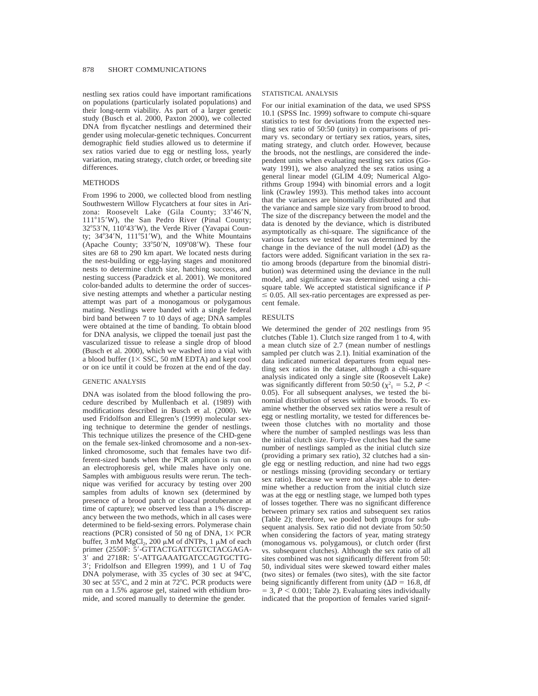nestling sex ratios could have important ramifications on populations (particularly isolated populations) and their long-term viability. As part of a larger genetic study (Busch et al. 2000, Paxton 2000), we collected DNA from flycatcher nestlings and determined their gender using molecular-genetic techniques. Concurrent demographic field studies allowed us to determine if sex ratios varied due to egg or nestling loss, yearly variation, mating strategy, clutch order, or breeding site differences.

# **METHODS**

From 1996 to 2000, we collected blood from nestling Southwestern Willow Flycatchers at four sites in Arizona: Roosevelt Lake (Gila County; 33°46'N, 111°15'W), the San Pedro River (Pinal County; 32°53'N, 110°43'W), the Verde River (Yavapai County;  $34^{\circ}34'$ N,  $111^{\circ}51'$ W), and the White Mountains (Apache County;  $33^{\circ}50'$ N,  $109^{\circ}08'$ W). These four sites are 68 to 290 km apart. We located nests during the nest-building or egg-laying stages and monitored nests to determine clutch size, hatching success, and nesting success (Paradzick et al. 2001). We monitored color-banded adults to determine the order of successive nesting attempts and whether a particular nesting attempt was part of a monogamous or polygamous mating. Nestlings were banded with a single federal bird band between 7 to 10 days of age; DNA samples were obtained at the time of banding. To obtain blood for DNA analysis, we clipped the toenail just past the vascularized tissue to release a single drop of blood (Busch et al. 2000), which we washed into a vial with a blood buffer  $(1 \times SSC, 50 \text{ mM} EDTA)$  and kept cool or on ice until it could be frozen at the end of the day.

#### GENETIC ANALYSIS

DNA was isolated from the blood following the procedure described by Mullenbach et al. (1989) with modifications described in Busch et al. (2000). We used Fridolfson and Ellegren's (1999) molecular sexing technique to determine the gender of nestlings. This technique utilizes the presence of the CHD-gene on the female sex-linked chromosome and a non-sexlinked chromosome, such that females have two different-sized bands when the PCR amplicon is run on an electrophoresis gel, while males have only one. Samples with ambiguous results were rerun. The technique was verified for accuracy by testing over 200 samples from adults of known sex (determined by presence of a brood patch or cloacal protuberance at time of capture); we observed less than a 1% discrepancy between the two methods, which in all cases were determined to be field-sexing errors. Polymerase chain reactions (PCR) consisted of 50 ng of DNA,  $1 \times$  PCR buffer, 3 mM  $MgCl<sub>2</sub>$ , 200  $\mu$ M of dNTPs, 1  $\mu$ M of each primer (2550F: 5'-GTTACTGATTCGTCTACGAGA-3' and 2718R: 5'-ATTGAAATGATCCAGTGCTTG-39; Fridolfson and Ellegren 1999), and 1 U of *Taq* DNA polymerase, with  $35$  cycles of  $30$  sec at  $94^{\circ}$ C, 30 sec at  $55^{\circ}$ C, and 2 min at  $72^{\circ}$ C. PCR products were run on a 1.5% agarose gel, stained with ethidium bromide, and scored manually to determine the gender.

# STATISTICAL ANALYSIS

For our initial examination of the data, we used SPSS 10.1 (SPSS Inc. 1999) software to compute chi-square statistics to test for deviations from the expected nestling sex ratio of 50:50 (unity) in comparisons of primary vs. secondary or tertiary sex ratios, years, sites, mating strategy, and clutch order. However, because the broods, not the nestlings, are considered the independent units when evaluating nestling sex ratios (Gowaty 1991), we also analyzed the sex ratios using a general linear model (GLIM 4.09; Numerical Algorithms Group 1994) with binomial errors and a logit link (Crawley 1993). This method takes into account that the variances are binomially distributed and that the variance and sample size vary from brood to brood. The size of the discrepancy between the model and the data is denoted by the deviance, which is distributed asymptotically as chi-square. The significance of the various factors we tested for was determined by the change in the deviance of the null model  $(\Delta D)$  as the factors were added. Significant variation in the sex ratio among broods (departure from the binomial distribution) was determined using the deviance in the null model, and significance was determined using a chisquare table. We accepted statistical significance if *P*  $\leq$  0.05. All sex-ratio percentages are expressed as percent female.

# **RESULTS**

We determined the gender of 202 nestlings from 95 clutches (Table 1). Clutch size ranged from 1 to 4, with a mean clutch size of 2.7 (mean number of nestlings sampled per clutch was 2.1). Initial examination of the data indicated numerical departures from equal nestling sex ratios in the dataset, although a chi-square analysis indicated only a single site (Roosevelt Lake) was significantly different from 50:50 ( $\chi^2$ <sub>1</sub> = 5.2, *P* < 0.05). For all subsequent analyses, we tested the binomial distribution of sexes within the broods. To examine whether the observed sex ratios were a result of egg or nestling mortality, we tested for differences between those clutches with no mortality and those where the number of sampled nestlings was less than the initial clutch size. Forty-five clutches had the same number of nestlings sampled as the initial clutch size (providing a primary sex ratio), 32 clutches had a single egg or nestling reduction, and nine had two eggs or nestlings missing (providing secondary or tertiary sex ratio). Because we were not always able to determine whether a reduction from the initial clutch size was at the egg or nestling stage, we lumped both types of losses together. There was no significant difference between primary sex ratios and subsequent sex ratios (Table 2); therefore, we pooled both groups for subsequent analysis. Sex ratio did not deviate from 50:50 when considering the factors of year, mating strategy (monogamous vs. polygamous), or clutch order (first vs. subsequent clutches). Although the sex ratio of all sites combined was not significantly different from 50: 50, individual sites were skewed toward either males (two sites) or females (two sites), with the site factor being significantly different from unity ( $\Delta D = 16.8$ , df  $=$  3,  $P \le 0.001$ ; Table 2). Evaluating sites individually indicated that the proportion of females varied signif-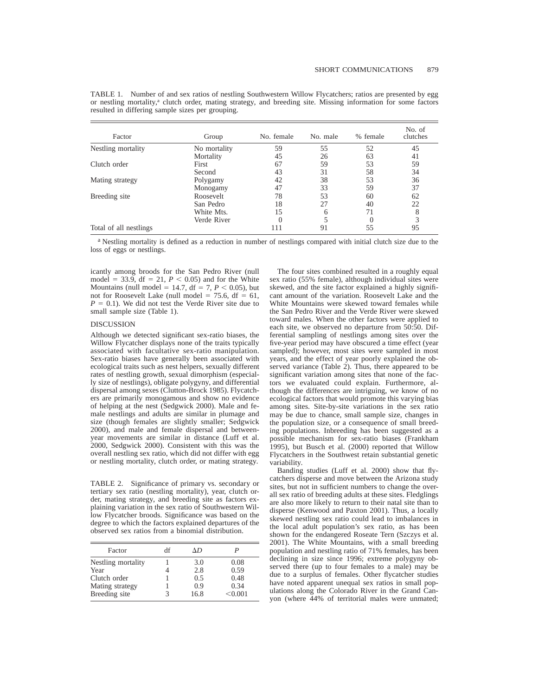| Factor                 | Group        | No. female | No. male | % female | No. of<br>clutches |
|------------------------|--------------|------------|----------|----------|--------------------|
| Nestling mortality     | No mortality | 59         | 55       | 52       | 45                 |
|                        | Mortality    | 45         | 26       | 63       | 41                 |
| Clutch order           | First        | 67         | 59       | 53       | 59                 |
|                        | Second       | 43         | 31       | 58       | 34                 |
| Mating strategy        | Polygamy     | 42         | 38       | 53       | 36                 |
|                        | Monogamy     | 47         | 33       | 59       | 37                 |
| Breeding site          | Roosevelt    | 78         | 53       | 60       | 62                 |
|                        | San Pedro    | 18         | 27       | 40       | 22                 |
|                        | White Mts.   | 15         | 6        | 71       | 8                  |
|                        | Verde River  |            |          | $\Omega$ | 3                  |
| Total of all nestlings |              | 111        | 91       | 55       | 95                 |

TABLE 1. Number of and sex ratios of nestling Southwestern Willow Flycatchers; ratios are presented by egg or nestling mortality,<sup>a</sup> clutch order, mating strategy, and breeding site. Missing information for some factors resulted in differing sample sizes per grouping.

a Nestling mortality is defined as a reduction in number of nestlings compared with initial clutch size due to the loss of eggs or nestlings.

icantly among broods for the San Pedro River (null model = 33.9, df = 21,  $P < 0.05$ ) and for the White Mountains (null model = 14.7, df = 7,  $P < 0.05$ ), but not for Roosevelt Lake (null model =  $75.6$ , df =  $61$ ,  $P = 0.1$ ). We did not test the Verde River site due to small sample size (Table 1).

### DISCUSSION

Although we detected significant sex-ratio biases, the Willow Flycatcher displays none of the traits typically associated with facultative sex-ratio manipulation. Sex-ratio biases have generally been associated with ecological traits such as nest helpers, sexually different rates of nestling growth, sexual dimorphism (especially size of nestlings), obligate polygyny, and differential dispersal among sexes (Clutton-Brock 1985). Flycatchers are primarily monogamous and show no evidence of helping at the nest (Sedgwick 2000). Male and female nestlings and adults are similar in plumage and size (though females are slightly smaller; Sedgwick 2000), and male and female dispersal and betweenyear movements are similar in distance (Luff et al. 2000, Sedgwick 2000). Consistent with this was the overall nestling sex ratio, which did not differ with egg or nestling mortality, clutch order, or mating strategy.

TABLE 2. Significance of primary vs. secondary or tertiary sex ratio (nestling mortality), year, clutch order, mating strategy, and breeding site as factors explaining variation in the sex ratio of Southwestern Willow Flycatcher broods. Significance was based on the degree to which the factors explained departures of the observed sex ratios from a binomial distribution.

| Factor             | df | ΛD   |         |
|--------------------|----|------|---------|
| Nestling mortality |    | 3.0  | 0.08    |
| Year               |    | 2.8  | 0.59    |
| Clutch order       |    | 0.5  | 0.48    |
| Mating strategy    |    | 0.9  | 0.34    |
| Breeding site      |    | 16.8 | < 0.001 |

The four sites combined resulted in a roughly equal sex ratio (55% female), although individual sites were skewed, and the site factor explained a highly significant amount of the variation. Roosevelt Lake and the White Mountains were skewed toward females while the San Pedro River and the Verde River were skewed toward males. When the other factors were applied to each site, we observed no departure from 50:50. Differential sampling of nestlings among sites over the five-year period may have obscured a time effect (year sampled); however, most sites were sampled in most years, and the effect of year poorly explained the observed variance (Table 2). Thus, there appeared to be significant variation among sites that none of the factors we evaluated could explain. Furthermore, although the differences are intriguing, we know of no ecological factors that would promote this varying bias among sites. Site-by-site variations in the sex ratio may be due to chance, small sample size, changes in the population size, or a consequence of small breeding populations. Inbreeding has been suggested as a possible mechanism for sex-ratio biases (Frankham 1995), but Busch et al. (2000) reported that Willow Flycatchers in the Southwest retain substantial genetic variability.

Banding studies (Luff et al. 2000) show that flycatchers disperse and move between the Arizona study sites, but not in sufficient numbers to change the overall sex ratio of breeding adults at these sites. Fledglings are also more likely to return to their natal site than to disperse (Kenwood and Paxton 2001). Thus, a locally skewed nestling sex ratio could lead to imbalances in the local adult population's sex ratio, as has been shown for the endangered Roseate Tern (Szczys et al. 2001). The White Mountains, with a small breeding population and nestling ratio of 71% females, has been declining in size since 1996; extreme polygyny observed there (up to four females to a male) may be due to a surplus of females. Other flycatcher studies have noted apparent unequal sex ratios in small populations along the Colorado River in the Grand Canyon (where 44% of territorial males were unmated;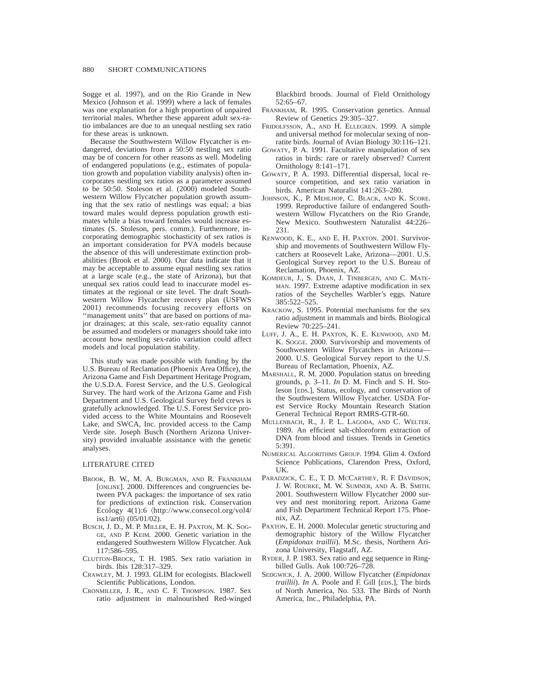Sogge et al. 1997), and on the Rio Grande in New Mexico (Johnson et al. 1999) where a lack of females was one explanation for a high proportion of unpaired territorial males. Whether these apparent adult sex-ratio imbalances are due to an unequal nestling sex ratio for these areas is unknown.

Because the Southwestern Willow Flycatcher is endangered, deviations from a 50:50 nestling sex ratio may be of concern for other reasons as well. Modeling of endangered populations (e.g., estimates of population growth and population viability analysis) often incorporates nestling sex ratios as a parameter assumed to be 50:50. Stoleson et al. (2000) modeled Southwestern Willow Flycatcher population growth assuming that the sex ratio of nestlings was equal; a bias toward males would depress population growth estimates while a bias toward females would increase estimates (S. Stoleson, pers. comm.). Furthermore, incorporating demographic stochasticity of sex ratios is an important consideration for PVA models because the absence of this will underestimate extinction probabilities (Brook et al. 2000). Our data indicate that it may be acceptable to assume equal nestling sex ratios at a large scale (e.g., the state of Arizona), but that unequal sex ratios could lead to inaccurate model estimates at the regional or site level. The draft Southwestern Willow Flycatcher recovery plan (USFWS 2001) recommends focusing recovery efforts on ''management units'' that are based on portions of major drainages; at this scale, sex-ratio equality cannot be assumed and modelers or managers should take into account how nestling sex-ratio variation could affect models and local population stability.

This study was made possible with funding by the U.S. Bureau of Reclamation (Phoenix Area Office), the Arizona Game and Fish Department Heritage Program, the U.S.D.A. Forest Service, and the U.S. Geological Survey. The hard work of the Arizona Game and Fish Department and U.S. Geological Survey field crews is gratefully acknowledged. The U.S. Forest Service provided access to the White Mountains and Roosevelt Lake, and SWCA, Inc. provided access to the Camp Verde site. Joseph Busch (Northern Arizona University) provided invaluable assistance with the genetic analyses.

### LITERATURE CITED

- BROOK, B. W., M. A. BURGMAN, AND R. FRANKHAM [ONLINE]. 2000. Differences and congruencies between PVA packages: the importance of sex ratio for predictions of extinction risk. Conservation Ecology 4(1):6  $\hbox{\tt \langle http://www.consecol.org/vol4/}$ iss $1/art6$  (05/01/02).
- BUSCH, J. D., M. P. MILLER, E. H. PAXTON, M. K. SOG-GE, AND P. KEIM. 2000. Genetic variation in the endangered Southwestern Willow Flycatcher. Auk 117:586–595.
- CLUTTON-BROCK, T. H. 1985. Sex ratio variation in birds. Ibis 128:317–329.
- CRAWLEY, M. J. 1993. GLIM for ecologists. Blackwell Scientific Publications, London.
- CRONMILLER, J. R., AND C. F. THOMPSON. 1987. Sex ratio adjustment in malnourished Red-winged

Blackbird broods. Journal of Field Ornithology 52:65–67.

- FRANKHAM, R. 1995. Conservation genetics. Annual Review of Genetics 29:305–327.
- FRIDOLFSSON, A., AND H. ELLEGREN. 1999. A simple and universal method for molecular sexing of nonratite birds. Journal of Avian Biology 30:116–121.
- GOWATY, P. A. 1991. Facultative manipulation of sex ratios in birds: rare or rarely observed? Current Ornithology 8:141–171.
- GOWATY, P. A. 1993. Differential dispersal, local resource competition, and sex ratio variation in birds. American Naturalist 141:263–280.
- JOHNSON, K., P. MEHLHOP, C. BLACK, AND K. SCORE. 1999. Reproductive failure of endangered Southwestern Willow Flycatchers on the Rio Grande, New Mexico. Southwestern Naturalist 44:226– 231.
- KENWOOD, K. E., AND E. H. PAXTON. 2001. Survivorship and movements of Southwestern Willow Flycatchers at Roosevelt Lake, Arizona—2001. U.S. Geological Survey report to the U.S. Bureau of Reclamation, Phoenix, AZ.
- KOMDEUR, J., S. DAAN, J. TINBERGEN, AND C. MATE-MAN. 1997. Extreme adaptive modification in sex ratios of the Seychelles Warbler's eggs. Nature 385:522–525.
- KRACKOW, S. 1995. Potential mechanisms for the sex ratio adjustment in mammals and birds. Biological Review 70:225–241.
- LUFF, J. A., E. H. PAXTON, K. E. KENWOOD, AND M. K. SOGGE. 2000. Survivorship and movements of Southwestern Willow Flycatchers in Arizona— 2000. U.S. Geological Survey report to the U.S. Bureau of Reclamation, Phoenix, AZ.
- MARSHALL, R. M. 2000. Population status on breeding grounds, p. 3–11. *In* D. M. Finch and S. H. Stoleson [EDS.], Status, ecology, and conservation of the Southwestern Willow Flycatcher. USDA Forest Service Rocky Mountain Research Station General Technical Report RMRS-GTR-60.
- MULLENBACH, R., J. P. L. LAGODA, AND C. WELTER. 1989. An efficient salt-chloroform extraction of DNA from blood and tissues. Trends in Genetics 5:391.
- NUMERICAL ALGORITHMS GROUP. 1994. Glim 4. Oxford Science Publications, Clarendon Press, Oxford, UK.
- PARADZICK, C. E., T. D. MCCARTHEY, R. F. DAVIDSON, J. W. ROURKE, M. W. SUMNER, AND A. B. SMITH. 2001. Southwestern Willow Flycatcher 2000 survey and nest monitoring report. Arizona Game and Fish Department Technical Report 175. Phoenix, AZ.
- PAXTON, E. H. 2000. Molecular genetic structuring and demographic history of the Willow Flycatcher (*Empidonax traillii*). M.Sc. thesis, Northern Arizona University, Flagstaff, AZ.
- RYDER, J. P. 1983. Sex ratio and egg sequence in Ringbilled Gulls. Auk 100:726–728.
- SEDGWICK, J. A. 2000. Willow Flycatcher (*Empidonax traillii*). *In* A. Poole and F. Gill [EDS.], The birds of North America, No. 533. The Birds of North America, Inc., Philadelphia, PA.